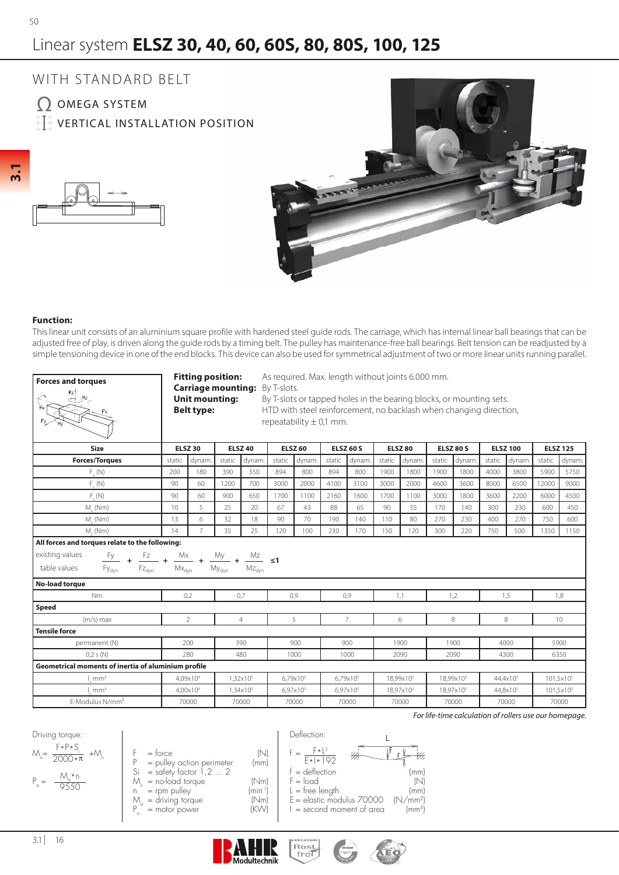# Linear system **ELSZ 30, 40, 60, 60S, 80, 80S, 100, 125**



### **Function:**

This linear unit consists of an aluminium square profile with hardened steel guide rods. The carriage, which has internal linear ball bearings that can be adjusted free of play, is driven along the guide rods by a timing belt. The pulley has maintenance-free ball bearings. Belt tension can be readjusted by a simple tensioning device in one of the end blocks. This device can also be used for symmetrical adjustment of two or more linear units running parallel.

| <b>ELSZ 30</b><br><b>ELSZ 40</b><br><b>ELSZ 60</b><br><b>ELSZ 60 S</b><br><b>ELSZ 80</b><br><b>ELSZ 80 S</b><br><b>ELSZ 100</b><br><b>ELSZ 125</b><br><b>Size</b><br><b>Forces/Torques</b><br>static<br>static<br>dynam<br>static<br>static<br>dynam.<br>static<br>static<br>static<br>dynam<br>dynam<br>dynam<br>static<br>dynam<br>dynam<br>dynam.<br>$F_{.}(\mathsf{N})$<br>180<br>390<br>350<br>894<br>800<br>894<br>800<br>1900<br>1800<br>1900<br>1800<br>4000<br>3800<br>5900<br>200<br>5750<br>3000<br>$F_{.} (N)$<br>90<br>60<br>700<br>2000<br>4100<br>3100<br>3000<br>2000<br>4600<br>3600<br>8000<br>6500<br>12000<br>9000<br>1200<br>F(N)<br>90<br>60<br>900<br>650<br>1700<br>2160<br>1600<br>1700<br>1100<br>3000<br>1800<br>3600<br>2200<br>6000<br>1100<br>4500<br>5<br>65<br>10<br>25<br>67<br>43<br>88<br>90<br>55<br>170<br>300<br>230<br>600<br>$M_{\sim}$ (Nm)<br>20<br>140<br>450<br>6<br>32<br>90<br>70<br>190<br>80<br>750<br>13<br>18<br>140<br>110<br>270<br>230<br>400<br>270<br>600<br>$M_{\odot}$ (Nm)<br>$\overline{7}$<br>35<br>25<br>M. (Nm)<br>14<br>120<br>100<br>230<br>170<br>150<br>120<br>300<br>220<br>750<br>500<br>1350<br>1150<br>All forces and torques relate to the following:<br>existing values<br>$\frac{{\sf F}{\sf y}}{\sf F}{\sf y}_{\sf dyn} \  \, \, + \  \, \frac{{\sf F}{\sf z}}{\sf F}{\sf z}_{\sf dyn} \  \, + \  \, \frac{{\sf M}{\sf x}}{\sf M}{\sf x}_{\sf dyn} \  \, + \  \, \frac{{\sf M}{\sf y}}{\sf M}{\sf y}_{\sf dyn} \  \, + \  \, \frac{{\sf M}{\sf z}}{\sf M}{\sf z}_{\sf dyn} \  \, \, \leq \! {\bf 1}$<br>table values<br><b>No-load torque</b><br>N <sub>m</sub><br>0,7<br>0,9<br>0,2<br>0,9<br>1,1<br>1,2<br>1,5<br>1,8<br>Speed<br>$\overline{2}$<br>5<br>$\overline{7}$<br>$(m/s)$ max<br>$\overline{4}$<br>6<br>8<br>8<br>10 <sup>°</sup><br><b>Tensile force</b><br>200<br>390<br>900<br>900<br>1900<br>1900<br>4000<br>5900<br>permanent (N)<br>280<br>0,2 s(N)<br>480<br>1000<br>1000<br>2090<br>2090<br>4300<br>6350<br>Geometrical moments of inertia of aluminium profile<br>6,79x10 <sup>5</sup><br>18,99x10 <sup>5</sup><br>4.09x10 <sup>4</sup><br>$1.32 \times 10^{5}$<br>6,79x10 <sup>5</sup><br>18.99x10 <sup>5</sup><br>44.4x10 <sup>5</sup><br>101,5x10 <sup>5</sup><br>mm <sup>4</sup><br>mm <sup>4</sup><br>4,00x10 <sup>4</sup><br>1,34×10 <sup>5</sup><br>6,97x10 <sup>5</sup><br>6,97x10 <sup>5</sup><br>18,97x10 <sup>5</sup><br>18,97x10 <sup>5</sup><br>44,8x10 <sup>5</sup><br>101,5x10 <sup>5</sup><br>E-Modulus N/mm <sup>2</sup><br>70000<br>70000<br>70000<br>70000<br>70000<br>70000<br>70000<br>70000 | <b>Forces and torques</b><br>$\sum_{z=1}^{\lceil z \rceil}$ |  | <b>Fitting position:</b><br><b>Unit mounting:</b><br><b>Belt type:</b> |  | Carriage mounting: By T-slots. |  | As required. Max. length without joints 6.000 mm.<br>By T-slots or tapped holes in the bearing blocks, or mounting sets.<br>HTD with steel reinforcement, no backlash when changing direction,<br>repeatability $\pm$ 0.1 mm. |  |  |  |  |  |  |  |  |  |  |
|-----------------------------------------------------------------------------------------------------------------------------------------------------------------------------------------------------------------------------------------------------------------------------------------------------------------------------------------------------------------------------------------------------------------------------------------------------------------------------------------------------------------------------------------------------------------------------------------------------------------------------------------------------------------------------------------------------------------------------------------------------------------------------------------------------------------------------------------------------------------------------------------------------------------------------------------------------------------------------------------------------------------------------------------------------------------------------------------------------------------------------------------------------------------------------------------------------------------------------------------------------------------------------------------------------------------------------------------------------------------------------------------------------------------------------------------------------------------------------------------------------------------------------------------------------------------------------------------------------------------------------------------------------------------------------------------------------------------------------------------------------------------------------------------------------------------------------------------------------------------------------------------------------------------------------------------------------------------------------------------------------------------------------------------------------------------------------------------------------------------------------------------------------------------------------------------------------------------------------------------------------------------------------------------------------------------------------------------------------------------------------------------------------------------------------------------------------------------------------------------------------------------------------------------------------------------------------------------------------------------|-------------------------------------------------------------|--|------------------------------------------------------------------------|--|--------------------------------|--|-------------------------------------------------------------------------------------------------------------------------------------------------------------------------------------------------------------------------------|--|--|--|--|--|--|--|--|--|--|
|                                                                                                                                                                                                                                                                                                                                                                                                                                                                                                                                                                                                                                                                                                                                                                                                                                                                                                                                                                                                                                                                                                                                                                                                                                                                                                                                                                                                                                                                                                                                                                                                                                                                                                                                                                                                                                                                                                                                                                                                                                                                                                                                                                                                                                                                                                                                                                                                                                                                                                                                                                                                                 |                                                             |  |                                                                        |  |                                |  |                                                                                                                                                                                                                               |  |  |  |  |  |  |  |  |  |  |
|                                                                                                                                                                                                                                                                                                                                                                                                                                                                                                                                                                                                                                                                                                                                                                                                                                                                                                                                                                                                                                                                                                                                                                                                                                                                                                                                                                                                                                                                                                                                                                                                                                                                                                                                                                                                                                                                                                                                                                                                                                                                                                                                                                                                                                                                                                                                                                                                                                                                                                                                                                                                                 |                                                             |  |                                                                        |  |                                |  |                                                                                                                                                                                                                               |  |  |  |  |  |  |  |  |  |  |
|                                                                                                                                                                                                                                                                                                                                                                                                                                                                                                                                                                                                                                                                                                                                                                                                                                                                                                                                                                                                                                                                                                                                                                                                                                                                                                                                                                                                                                                                                                                                                                                                                                                                                                                                                                                                                                                                                                                                                                                                                                                                                                                                                                                                                                                                                                                                                                                                                                                                                                                                                                                                                 |                                                             |  |                                                                        |  |                                |  |                                                                                                                                                                                                                               |  |  |  |  |  |  |  |  |  |  |
|                                                                                                                                                                                                                                                                                                                                                                                                                                                                                                                                                                                                                                                                                                                                                                                                                                                                                                                                                                                                                                                                                                                                                                                                                                                                                                                                                                                                                                                                                                                                                                                                                                                                                                                                                                                                                                                                                                                                                                                                                                                                                                                                                                                                                                                                                                                                                                                                                                                                                                                                                                                                                 |                                                             |  |                                                                        |  |                                |  |                                                                                                                                                                                                                               |  |  |  |  |  |  |  |  |  |  |
|                                                                                                                                                                                                                                                                                                                                                                                                                                                                                                                                                                                                                                                                                                                                                                                                                                                                                                                                                                                                                                                                                                                                                                                                                                                                                                                                                                                                                                                                                                                                                                                                                                                                                                                                                                                                                                                                                                                                                                                                                                                                                                                                                                                                                                                                                                                                                                                                                                                                                                                                                                                                                 |                                                             |  |                                                                        |  |                                |  |                                                                                                                                                                                                                               |  |  |  |  |  |  |  |  |  |  |
|                                                                                                                                                                                                                                                                                                                                                                                                                                                                                                                                                                                                                                                                                                                                                                                                                                                                                                                                                                                                                                                                                                                                                                                                                                                                                                                                                                                                                                                                                                                                                                                                                                                                                                                                                                                                                                                                                                                                                                                                                                                                                                                                                                                                                                                                                                                                                                                                                                                                                                                                                                                                                 |                                                             |  |                                                                        |  |                                |  |                                                                                                                                                                                                                               |  |  |  |  |  |  |  |  |  |  |
|                                                                                                                                                                                                                                                                                                                                                                                                                                                                                                                                                                                                                                                                                                                                                                                                                                                                                                                                                                                                                                                                                                                                                                                                                                                                                                                                                                                                                                                                                                                                                                                                                                                                                                                                                                                                                                                                                                                                                                                                                                                                                                                                                                                                                                                                                                                                                                                                                                                                                                                                                                                                                 |                                                             |  |                                                                        |  |                                |  |                                                                                                                                                                                                                               |  |  |  |  |  |  |  |  |  |  |
|                                                                                                                                                                                                                                                                                                                                                                                                                                                                                                                                                                                                                                                                                                                                                                                                                                                                                                                                                                                                                                                                                                                                                                                                                                                                                                                                                                                                                                                                                                                                                                                                                                                                                                                                                                                                                                                                                                                                                                                                                                                                                                                                                                                                                                                                                                                                                                                                                                                                                                                                                                                                                 |                                                             |  |                                                                        |  |                                |  |                                                                                                                                                                                                                               |  |  |  |  |  |  |  |  |  |  |
|                                                                                                                                                                                                                                                                                                                                                                                                                                                                                                                                                                                                                                                                                                                                                                                                                                                                                                                                                                                                                                                                                                                                                                                                                                                                                                                                                                                                                                                                                                                                                                                                                                                                                                                                                                                                                                                                                                                                                                                                                                                                                                                                                                                                                                                                                                                                                                                                                                                                                                                                                                                                                 |                                                             |  |                                                                        |  |                                |  |                                                                                                                                                                                                                               |  |  |  |  |  |  |  |  |  |  |
|                                                                                                                                                                                                                                                                                                                                                                                                                                                                                                                                                                                                                                                                                                                                                                                                                                                                                                                                                                                                                                                                                                                                                                                                                                                                                                                                                                                                                                                                                                                                                                                                                                                                                                                                                                                                                                                                                                                                                                                                                                                                                                                                                                                                                                                                                                                                                                                                                                                                                                                                                                                                                 |                                                             |  |                                                                        |  |                                |  |                                                                                                                                                                                                                               |  |  |  |  |  |  |  |  |  |  |
|                                                                                                                                                                                                                                                                                                                                                                                                                                                                                                                                                                                                                                                                                                                                                                                                                                                                                                                                                                                                                                                                                                                                                                                                                                                                                                                                                                                                                                                                                                                                                                                                                                                                                                                                                                                                                                                                                                                                                                                                                                                                                                                                                                                                                                                                                                                                                                                                                                                                                                                                                                                                                 |                                                             |  |                                                                        |  |                                |  |                                                                                                                                                                                                                               |  |  |  |  |  |  |  |  |  |  |
|                                                                                                                                                                                                                                                                                                                                                                                                                                                                                                                                                                                                                                                                                                                                                                                                                                                                                                                                                                                                                                                                                                                                                                                                                                                                                                                                                                                                                                                                                                                                                                                                                                                                                                                                                                                                                                                                                                                                                                                                                                                                                                                                                                                                                                                                                                                                                                                                                                                                                                                                                                                                                 |                                                             |  |                                                                        |  |                                |  |                                                                                                                                                                                                                               |  |  |  |  |  |  |  |  |  |  |
|                                                                                                                                                                                                                                                                                                                                                                                                                                                                                                                                                                                                                                                                                                                                                                                                                                                                                                                                                                                                                                                                                                                                                                                                                                                                                                                                                                                                                                                                                                                                                                                                                                                                                                                                                                                                                                                                                                                                                                                                                                                                                                                                                                                                                                                                                                                                                                                                                                                                                                                                                                                                                 |                                                             |  |                                                                        |  |                                |  |                                                                                                                                                                                                                               |  |  |  |  |  |  |  |  |  |  |
|                                                                                                                                                                                                                                                                                                                                                                                                                                                                                                                                                                                                                                                                                                                                                                                                                                                                                                                                                                                                                                                                                                                                                                                                                                                                                                                                                                                                                                                                                                                                                                                                                                                                                                                                                                                                                                                                                                                                                                                                                                                                                                                                                                                                                                                                                                                                                                                                                                                                                                                                                                                                                 |                                                             |  |                                                                        |  |                                |  |                                                                                                                                                                                                                               |  |  |  |  |  |  |  |  |  |  |
|                                                                                                                                                                                                                                                                                                                                                                                                                                                                                                                                                                                                                                                                                                                                                                                                                                                                                                                                                                                                                                                                                                                                                                                                                                                                                                                                                                                                                                                                                                                                                                                                                                                                                                                                                                                                                                                                                                                                                                                                                                                                                                                                                                                                                                                                                                                                                                                                                                                                                                                                                                                                                 |                                                             |  |                                                                        |  |                                |  |                                                                                                                                                                                                                               |  |  |  |  |  |  |  |  |  |  |
|                                                                                                                                                                                                                                                                                                                                                                                                                                                                                                                                                                                                                                                                                                                                                                                                                                                                                                                                                                                                                                                                                                                                                                                                                                                                                                                                                                                                                                                                                                                                                                                                                                                                                                                                                                                                                                                                                                                                                                                                                                                                                                                                                                                                                                                                                                                                                                                                                                                                                                                                                                                                                 |                                                             |  |                                                                        |  |                                |  |                                                                                                                                                                                                                               |  |  |  |  |  |  |  |  |  |  |
|                                                                                                                                                                                                                                                                                                                                                                                                                                                                                                                                                                                                                                                                                                                                                                                                                                                                                                                                                                                                                                                                                                                                                                                                                                                                                                                                                                                                                                                                                                                                                                                                                                                                                                                                                                                                                                                                                                                                                                                                                                                                                                                                                                                                                                                                                                                                                                                                                                                                                                                                                                                                                 |                                                             |  |                                                                        |  |                                |  |                                                                                                                                                                                                                               |  |  |  |  |  |  |  |  |  |  |
|                                                                                                                                                                                                                                                                                                                                                                                                                                                                                                                                                                                                                                                                                                                                                                                                                                                                                                                                                                                                                                                                                                                                                                                                                                                                                                                                                                                                                                                                                                                                                                                                                                                                                                                                                                                                                                                                                                                                                                                                                                                                                                                                                                                                                                                                                                                                                                                                                                                                                                                                                                                                                 |                                                             |  |                                                                        |  |                                |  |                                                                                                                                                                                                                               |  |  |  |  |  |  |  |  |  |  |
|                                                                                                                                                                                                                                                                                                                                                                                                                                                                                                                                                                                                                                                                                                                                                                                                                                                                                                                                                                                                                                                                                                                                                                                                                                                                                                                                                                                                                                                                                                                                                                                                                                                                                                                                                                                                                                                                                                                                                                                                                                                                                                                                                                                                                                                                                                                                                                                                                                                                                                                                                                                                                 |                                                             |  |                                                                        |  |                                |  |                                                                                                                                                                                                                               |  |  |  |  |  |  |  |  |  |  |
|                                                                                                                                                                                                                                                                                                                                                                                                                                                                                                                                                                                                                                                                                                                                                                                                                                                                                                                                                                                                                                                                                                                                                                                                                                                                                                                                                                                                                                                                                                                                                                                                                                                                                                                                                                                                                                                                                                                                                                                                                                                                                                                                                                                                                                                                                                                                                                                                                                                                                                                                                                                                                 |                                                             |  |                                                                        |  |                                |  |                                                                                                                                                                                                                               |  |  |  |  |  |  |  |  |  |  |

Deflection:

 $F*L^3$ 

f =

Driving torque: M<sub>a</sub>  $=\frac{1}{2000*\pi}$  +M<sub>n</sub>  $P_{\alpha}$  = F\*P\*Si  $M *n$ 9550

- $F = force$  (N)<br>  $P = 6$  pullev action perimeter (mm)  $P =$  pulley action perimeter (mm)<br>Si = safety factor 1,2 ... 2  $=$  safety factor  $1, 2, \ldots, 2$  $M_n$ n  $=$  no-load torque  $(Nm)$ <br> $=$  rpm pulley  $(min^{-1})$ = rpm pulley  $(\text{min}^{-1})$ <br>= driving torque  $(\text{Nm})$  $M_a$
- $=$  driving torque  $(Nm)$ <br>= motor power  $(KW)$  $P_{\alpha}$ 
	- = motor power
		-

Modultechnik



₩

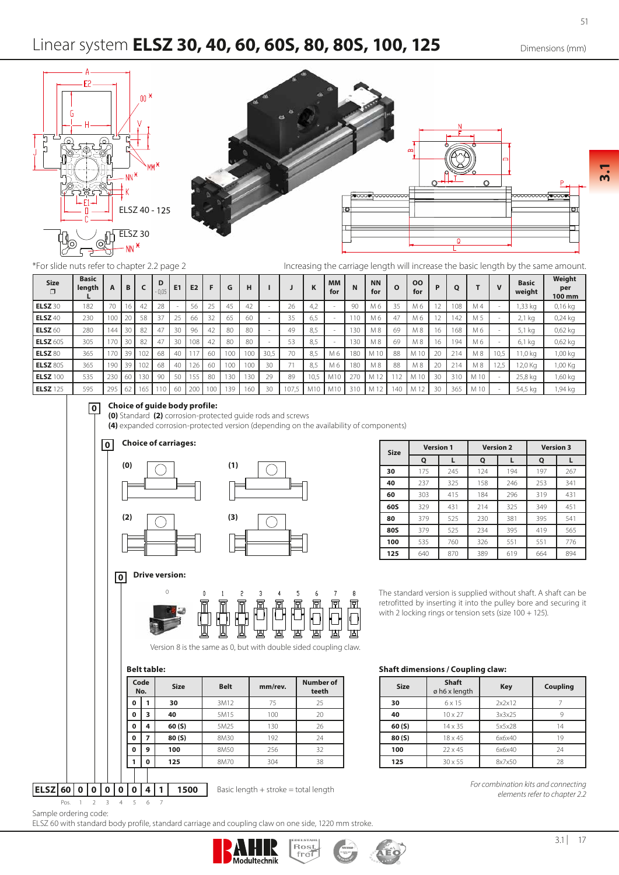51

## Linear system **ELSZ 30, 40, 60, 60S, 80, 80S, 100, 125** Dimensions (mm)





\*For slide nuts refer to chapter 2.2 page 2

Increasing the carriage length will increase the basic length by the same amount.

| <b>Size</b><br>$\Box$ | <b>Basic</b><br>length<br>∼ | $\mathbf{A}$ | в      |     | D<br>- U,U5. | E <sub>1</sub> | E <sub>2</sub> | F   | G               | н   |      |     |                  | <b>MM</b><br>for  | N          | <b>NN</b><br>for | $\Omega$ | <b>OO</b><br>for | P              | О   |      |          | <b>Basic</b><br>weight | Weight<br>per<br>100 mm |
|-----------------------|-----------------------------|--------------|--------|-----|--------------|----------------|----------------|-----|-----------------|-----|------|-----|------------------|-------------------|------------|------------------|----------|------------------|----------------|-----|------|----------|------------------------|-------------------------|
| <b>ELSZ 30</b>        | 182                         | 70           |        | 42  | 28           |                |                |     | 45              | 42  |      | 26  | $\bigcap$<br>4,2 |                   | 90         | M 6              | 35       | M 6              |                | 108 | M 4  |          | 1,33 kg                | 0,16 kg                 |
| <b>ELSZ</b> 40        | 230                         | 100          | $\sim$ | 58  | 37           | 25             | 66             | 32  | 65              | 60  |      | 35  | 6,5              |                   | 110        | M6               | 47       | М6               |                | 142 | M 5  |          | $2.1$ kg               | $0.24$ kg               |
| <b>ELSZ</b> 60        | 280                         | 144          |        | 82  | 47           | 30             | 96             | 42  | 80              | 80  |      | 49  | 8,5              |                   | 130        | M 8              | 69       | M 8              | 16             | 168 | M 6  |          | 5,1 kg                 | $0,62$ kg               |
| <b>ELSZ 60S</b>       | 305                         |              | 30     | 82  | 47           | 30             | 108            | 42  | 80              | 80  |      | 53  | 8.5              |                   | 130        | M 8              | 69       | M 8              | 16             | 194 | M 6  |          | 6,1 kg                 | 0,62 kg                 |
| ELSZ <sub>80</sub>    | 365                         | 170          | 20     | 102 | 68           | 40             |                | 60  | 10 <sup>c</sup> | 100 | 30,5 | 70  | 8.5              | M 6               | <b>180</b> | M 10             | 88       | M                | 2 <sup>c</sup> | 214 | M 8  | 10,5     | $1,0$ kg               | 1,00 kg                 |
| <b>ELSZ 80S</b>       | 365                         | 190          | R      | 102 | 68           | 40             |                | 60  | 100             | 100 | 30   |     | 8,5              | M 6               | 180        | M 8              | 88       | M 8              | 20             | 214 | M 8  | c<br>2,3 | 2,0 Kg                 | 1,00 Kg                 |
| <b>ELSZ</b> 100       | 535                         | 230          |        | 30  | 90           | 50             |                | 80  | 13 <sup>c</sup> | 130 | 29   | 89  | 10.5             | M1C               | 27C        | ÷<br>A A 1       | ╹        | M 10             | 30             | 310 | M 10 |          | 25,8 kg                | ,60 kg                  |
| ELSZ 125              | 595                         | 295          | h.     | 65  |              | -60            | 200            | 100 | 139             | 160 | 30   | 107 |                  | . M1 <sup>c</sup> | 310        | AA 12            | 40       | └                | 30             | 365 | M 10 |          | 54,5 kg                | ,94 kg                  |

#### **0 Choice of guide body profile:**

**(0)** Standard **(2)** corrosion-protected guide rods and screws

**(4)** expanded corrosion-protected version (depending on the availability of components)



| <b>Size</b> | <b>Version 1</b> |     |     | <b>Version 2</b> | <b>Version 3</b> |     |  |  |
|-------------|------------------|-----|-----|------------------|------------------|-----|--|--|
|             | Q                |     | Q   |                  | Q                |     |  |  |
| 30          | 175              | 245 | 124 | 194              | 197              | 267 |  |  |
| 40          | 237              | 325 | 158 | 246              | 253              | 341 |  |  |
| 60          | 303              | 415 | 184 | 296              | 319              | 431 |  |  |
| 60S         | 329              | 431 | 214 | 325              | 349              | 451 |  |  |
| 80          | 379              | 525 | 230 | 381              | 395              | 541 |  |  |
| 80S         | 379              | 525 | 234 | 395              | 419              | 565 |  |  |
| 100         | 535              | 760 | 326 | 551              | 551              | 776 |  |  |
| 125         | 640              | 870 | 389 | 619              | 664              | 894 |  |  |

The standard version is supplied without shaft. A shaft can be retrofitted by inserting it into the pulley bore and securing it with 2 locking rings or tension sets (size 100 + 125).

Version 8 is the same as 0, but with double sided coupling claw.

| Relt tahl |  |
|-----------|--|

| Code | No. | <b>Size</b> | <b>Belt</b> | mm/rev. | <b>Number of</b><br>teeth |
|------|-----|-------------|-------------|---------|---------------------------|
| 0    |     | 30          | 3M12        | 75      | 25                        |
| 0    | 3   | 40          | 5M15        | 100     | 20                        |
| 0    | 4   | 60(5)       | 5M25        | 130     | 26                        |
| 0    | 7   | 80(S)       | 8M30        | 192     | 24                        |
| 0    | 9   | 100         | 8M50        | 256     | 32                        |
|      | 0   | 125         | 8M70        | 304     | 38                        |
|      |     |             |             |         |                           |

**ELSZ 60 0 0 0 0 0 4 1 1500** Pos. 1 2 3 4 5 6 7

**Belt table: Shaft dimensions / Coupling claw:**

| <b>Size</b> | <b>Shaft</b><br>ø h6 x length | <b>Key</b> | <b>Coupling</b> |
|-------------|-------------------------------|------------|-----------------|
| 30          | $6 \times 15$                 | 2x2x12     |                 |
| 40          | $10 \times 27$                | 3x3x25     |                 |
| 60(S)       | 14 x 35                       | 5x5x28     | 14              |
| 80(S)       | 18 x 45                       | 6x6x40     |                 |
| 100         | $22 \times 45$                | 6x6x40     | 24              |
| 125         | $30 \times 55$                | 8x7x50     | 28              |

Basic length + stroke = total length *For combination kits and connecting elements refer to chapter 2.2*

Sample ordering code:

ELSZ 60 with standard body profile, standard carriage and coupling claw on one side, 1220 mm stroke.



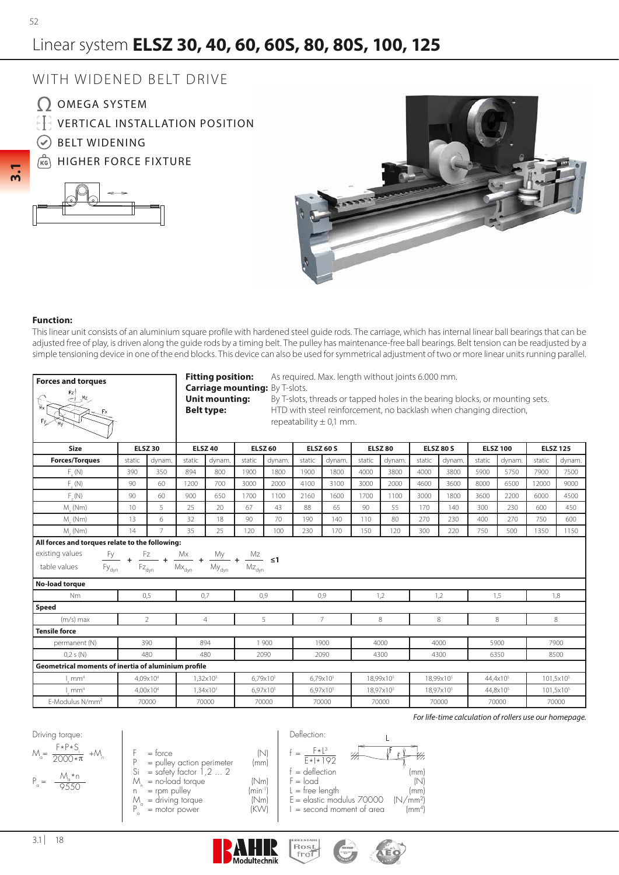**3.1**

# Linear system **ELSZ 30, 40, 60, 60S, 80, 80S, 100, 125**

## WITH WIDENED BELT DRIVE

- Q OMEGA SYSTEM
- **EFT VERTICAL INSTALLATION POSITION**
- BELT WIDENING
- (KG) HIGHER FORCE FIXTURE





### **Function:**

This linear unit consists of an aluminium square profile with hardened steel guide rods. The carriage, which has internal linear ball bearings that can be adjusted free of play, is driven along the guide rods by a timing belt. The pulley has maintenance-free ball bearings. Belt tension can be readjusted by a simple tensioning device in one of the end blocks. This device can also be used for symmetrical adjustment of two or more linear units running parallel.

| Forces and torques<br>$\sum_{z=1}^{\lfloor x \rfloor}$                             |                |                              |        | <b>Fitting position:</b><br><b>Carriage mounting: By T-slots.</b><br><b>Unit mounting:</b><br><b>Belt type:</b>          |        |                      |        | As required. Max. length without joints 6.000 mm.<br>By T-slots, threads or tapped holes in the bearing blocks, or mounting sets.<br>HTD with steel reinforcement, no backlash when changing direction,<br>repeatability $\pm$ 0.1 mm. |        |                       |        |                       |        |                      |                 |                       |
|------------------------------------------------------------------------------------|----------------|------------------------------|--------|--------------------------------------------------------------------------------------------------------------------------|--------|----------------------|--------|----------------------------------------------------------------------------------------------------------------------------------------------------------------------------------------------------------------------------------------|--------|-----------------------|--------|-----------------------|--------|----------------------|-----------------|-----------------------|
| <b>Size</b>                                                                        |                | <b>ELSZ 30</b>               |        | <b>ELSZ 40</b>                                                                                                           |        | <b>ELSZ 60</b>       |        | <b>ELSZ 60 S</b>                                                                                                                                                                                                                       |        | <b>ELSZ 80</b>        |        | <b>ELSZ 80 S</b>      |        | <b>ELSZ 100</b>      | <b>ELSZ 125</b> |                       |
| <b>Forces/Torques</b>                                                              | static         | dynam.                       | static | dynam.                                                                                                                   | static | dynam.               | static | dynam.                                                                                                                                                                                                                                 | static | dynam.                | static | dvnam                 | static | dynam.               | static          | dynam.                |
| $F_{v}(N)$                                                                         | 390            | 350                          | 894    | 800                                                                                                                      | 1900   | 1800                 | 1900   | 1800                                                                                                                                                                                                                                   | 4000   | 3800                  | 4000   | 3800                  | 5900   | 5750                 | 7900            | 7500                  |
| $F_{.}(\mathbb{N})$                                                                | 90<br>60       |                              | 1200   | 700                                                                                                                      | 3000   | 2000                 | 4100   | 3100                                                                                                                                                                                                                                   | 3000   | 2000                  | 4600   | 3600                  | 8000   | 6500                 | 12000           | 9000                  |
| F(N)                                                                               | 90<br>60       |                              | 900    | 650                                                                                                                      | 1700   | 1100                 | 2160   | 1600                                                                                                                                                                                                                                   | 1700   | 1100                  | 3000   | 1800                  | 3600   | 2200                 | 6000            | 4500                  |
| $M_{\cdot}$ (Nm)<br>10<br>5                                                        |                |                              | 25     | 20                                                                                                                       | 67     | 43                   | 88     | 65                                                                                                                                                                                                                                     | 90     | 55                    | 170    | 140                   | 300    | 230                  | 600             | 450                   |
| $M_{\cdot}$ (Nm)<br>13<br>6                                                        |                |                              | 32     | 18                                                                                                                       | 90     | 70                   | 190    | 140                                                                                                                                                                                                                                    | 110    | 80                    | 270    | 230                   | 400    | 270                  | 750             | 600                   |
| $M_{1}$ (Nm)                                                                       | $\overline{7}$ | 35                           | 25     | 120                                                                                                                      | 100    | 230                  | 170    | 150                                                                                                                                                                                                                                    | 120    | 300                   | 220    | 750                   | 500    | 1350                 | 1150            |                       |
| All forces and torques relate to the following:<br>existing values<br>table values |                | $\mathsf{Fz}_{\mathsf{dyn}}$ |        | $\frac{Fy}{Fy_{dyn}}$ + $\frac{Fz}{Fz_{dyn}}$ + $\frac{Mx}{Mx_{dyn}}$ + $\frac{My}{My_{dyn}}$ + $\frac{Mz}{Mz_{dyn}}$ 51 |        |                      |        |                                                                                                                                                                                                                                        |        |                       |        |                       |        |                      |                 |                       |
| No-load torque                                                                     |                |                              |        |                                                                                                                          |        |                      |        |                                                                                                                                                                                                                                        |        |                       |        |                       |        |                      | 1,8             |                       |
| <b>Nm</b>                                                                          |                | 0,5                          |        | 0.7                                                                                                                      |        | 0.9                  |        | 0,9                                                                                                                                                                                                                                    |        | 1,2                   |        | 1,2                   |        | 1,5                  |                 |                       |
| Speed<br>$(m/s)$ max                                                               |                | $\overline{2}$               |        | $\overline{4}$                                                                                                           |        | 5                    |        | $\overline{7}$                                                                                                                                                                                                                         |        | 8                     |        | 8                     |        | 8                    |                 | 8                     |
| <b>Tensile force</b>                                                               |                |                              |        |                                                                                                                          |        |                      |        |                                                                                                                                                                                                                                        |        |                       |        |                       |        |                      |                 |                       |
| permanent (N)                                                                      |                | 390                          |        | 894                                                                                                                      |        | 1 900                |        | 1900                                                                                                                                                                                                                                   |        | 4000                  |        | 4000                  |        | 5900                 |                 | 7900                  |
| 0.2 s(N)                                                                           |                | 480                          |        | 480                                                                                                                      |        | 2090                 |        | 2090                                                                                                                                                                                                                                   |        | 4300                  |        | 4300                  |        | 6350                 | 8500            |                       |
| Geometrical moments of inertia of aluminium profile                                |                |                              |        |                                                                                                                          |        |                      |        |                                                                                                                                                                                                                                        |        |                       |        |                       |        |                      |                 |                       |
| mm <sup>4</sup>                                                                    |                | 4.09x10 <sup>4</sup>         |        | 1,32x10 <sup>5</sup>                                                                                                     |        | 6,79x10 <sup>5</sup> |        | $6,79x10^{5}$                                                                                                                                                                                                                          |        | 18,99x10 <sup>5</sup> |        | 18,99x10 <sup>5</sup> |        | 44,4x10 <sup>5</sup> |                 | 101,5x10 <sup>5</sup> |
| mm <sup>4</sup>                                                                    |                | 4.00x10 <sup>4</sup>         |        | $1.34 \times 10^{5}$                                                                                                     |        | 6,97x10 <sup>5</sup> |        | 6.97x10 <sup>5</sup>                                                                                                                                                                                                                   |        | 18.97x10 <sup>5</sup> |        | 18.97x10 <sup>5</sup> |        | 44,8x10 <sup>5</sup> |                 | 101,5x10 <sup>5</sup> |
| E-Modulus N/mm <sup>2</sup>                                                        |                | 70000                        |        | 70000                                                                                                                    |        | 70000                | 70000  |                                                                                                                                                                                                                                        | 70000  |                       | 70000  |                       |        | 70000                |                 | 70000                 |

Deflection:

**Rost** 

 $F*L^3$  $E*|*192$ 

f =

Driving torque: M<sub>a</sub>  $=\frac{1}{2000*\pi}$  +M<sub>n</sub>  $P_{\alpha}$  = F\*P\*Si  $M * n$ 9550

- $F = force$  (N)<br>  $P = 6$  pullev action perimeter (mm)  $P =$  pulley action perimeter (mm)<br>Si = safety factor 1,2 ... 2  $=$  safety factor  $1, 2, \ldots, 2$  $M_n$  = no-load torque  $(M_m)$  $n^{\prime\prime}$  = rpm pulley  $\left(\text{min}^{\cdot\prime}\right)^{1}$ <br>  $M_{\cdot}$  = driving torque  $\left(\text{Nm}\right)^{1}$
- $\mathcal{M}_\mathrm{a}$ = driving torque (Nm)<br>= motor power (KVV)
- $P_{\alpha}$ = motor power
- **Modultechnik**



 $f = deflection$  (mm)<br>  $F = load$  (N) F = load (N) L = free length  $L =$  free length (mm)<br>E = elastic modulus 70000 (N/mm<sup>2</sup>)  $E =$  elastic modulus 70000

₩

 $I =$  second moment of area  $\text{mm}^4$ 

*For life-time calculation of rollers use our homepage.*